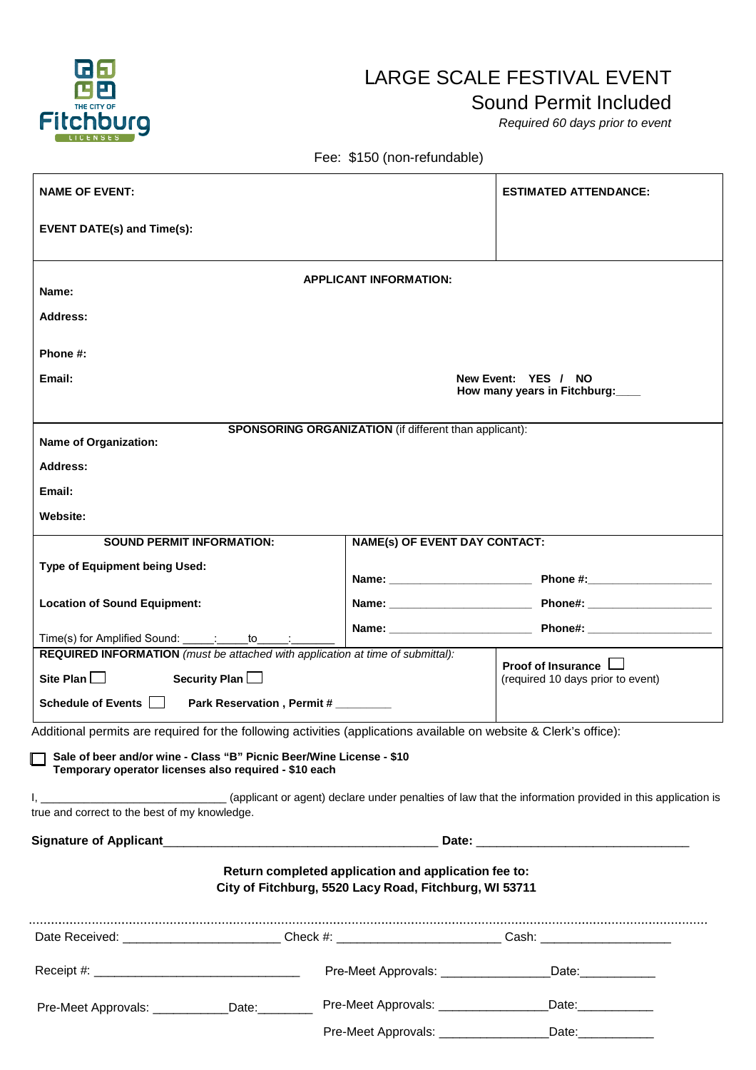

## LARGE SCALE FESTIVAL EVENT

## Sound Permit Included

*Required 60 days prior to event*

Fee: \$150 (non-refundable)

| <b>NAME OF EVENT:</b>                                                                                                                                                                                                                               |                                                                                                                |                                                                                                                | <b>ESTIMATED ATTENDANCE:</b>                                   |
|-----------------------------------------------------------------------------------------------------------------------------------------------------------------------------------------------------------------------------------------------------|----------------------------------------------------------------------------------------------------------------|----------------------------------------------------------------------------------------------------------------|----------------------------------------------------------------|
| <b>EVENT DATE(s) and Time(s):</b>                                                                                                                                                                                                                   |                                                                                                                |                                                                                                                |                                                                |
| Name:                                                                                                                                                                                                                                               |                                                                                                                | <b>APPLICANT INFORMATION:</b>                                                                                  |                                                                |
| Address:                                                                                                                                                                                                                                            |                                                                                                                |                                                                                                                |                                                                |
| Phone #:                                                                                                                                                                                                                                            |                                                                                                                |                                                                                                                |                                                                |
| Email:<br>New Event: YES / NO<br>How many years in Fitchburg:                                                                                                                                                                                       |                                                                                                                |                                                                                                                |                                                                |
| <b>Name of Organization:</b>                                                                                                                                                                                                                        |                                                                                                                | <b>SPONSORING ORGANIZATION</b> (if different than applicant):                                                  |                                                                |
| Address:                                                                                                                                                                                                                                            |                                                                                                                |                                                                                                                |                                                                |
| Email:                                                                                                                                                                                                                                              |                                                                                                                |                                                                                                                |                                                                |
| Website:                                                                                                                                                                                                                                            |                                                                                                                |                                                                                                                |                                                                |
| <b>SOUND PERMIT INFORMATION:</b><br><b>NAME(s) OF EVENT DAY CONTACT:</b>                                                                                                                                                                            |                                                                                                                |                                                                                                                |                                                                |
| Type of Equipment being Used:                                                                                                                                                                                                                       |                                                                                                                |                                                                                                                |                                                                |
| <b>Location of Sound Equipment:</b>                                                                                                                                                                                                                 |                                                                                                                |                                                                                                                |                                                                |
| Time(s) for Amplified Sound: _____: ____ to _____:                                                                                                                                                                                                  |                                                                                                                |                                                                                                                |                                                                |
| REQUIRED INFORMATION (must be attached with application at time of submittal):                                                                                                                                                                      |                                                                                                                |                                                                                                                |                                                                |
| Site Plan $\Box$<br>Security Plan                                                                                                                                                                                                                   |                                                                                                                |                                                                                                                | Proof of Insurance I<br>(required 10 days prior to event)      |
| Schedule of Events    <br>Park Reservation, Permit #                                                                                                                                                                                                |                                                                                                                |                                                                                                                |                                                                |
| Additional permits are required for the following activities (applications available on website & Clerk's office):<br>Sale of beer and/or wine - Class "B" Picnic Beer/Wine License - \$10<br>Temporary operator licenses also required - \$10 each |                                                                                                                |                                                                                                                |                                                                |
| true and correct to the best of my knowledge.                                                                                                                                                                                                       |                                                                                                                |                                                                                                                |                                                                |
|                                                                                                                                                                                                                                                     |                                                                                                                |                                                                                                                |                                                                |
|                                                                                                                                                                                                                                                     |                                                                                                                | Return completed application and application fee to:<br>City of Fitchburg, 5520 Lacy Road, Fitchburg, WI 53711 |                                                                |
|                                                                                                                                                                                                                                                     | Date Received: ___________________________Check #: ____________________________Cash: _________________________ |                                                                                                                |                                                                |
|                                                                                                                                                                                                                                                     |                                                                                                                |                                                                                                                |                                                                |
| Pre-Meet Approvals: ____________Date:________                                                                                                                                                                                                       |                                                                                                                |                                                                                                                | Pre-Meet Approvals: _____________________Date: _______________ |
|                                                                                                                                                                                                                                                     |                                                                                                                | Pre-Meet Approvals: ___________________                                                                        | Date: _____________                                            |